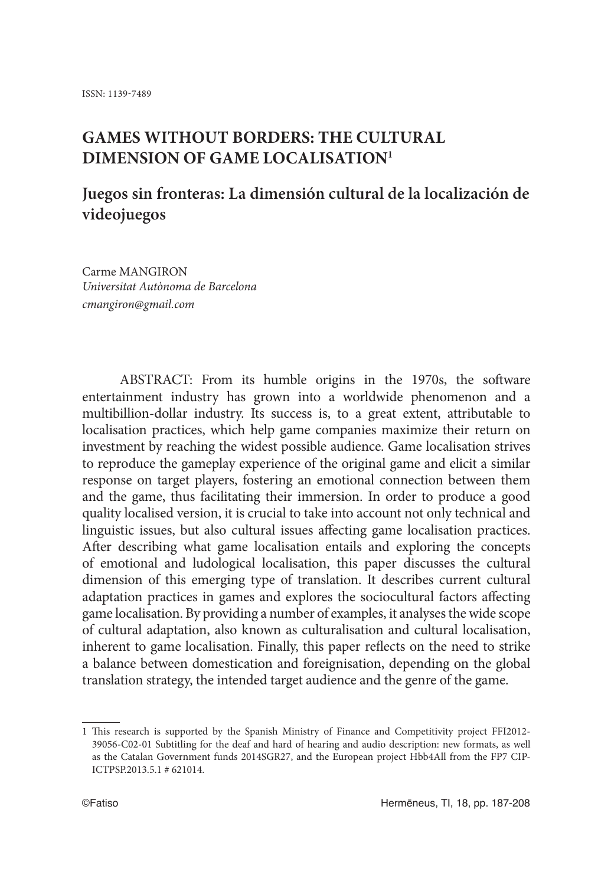# **GAMES WITHOUT BORDERS: THE CULTURAL DIMENSION OF GAME LOCALISATION1**

# **Juegos sin fronteras: La dimensión cultural de la localización de videojuegos**

Carme MANGIRON *Universitat Autònoma de Barcelona cmangiron@gmail.com*

ABSTRACT: From its humble origins in the 1970s, the software entertainment industry has grown into a worldwide phenomenon and a multibillion-dollar industry. Its success is, to a great extent, attributable to localisation practices, which help game companies maximize their return on investment by reaching the widest possible audience. Game localisation strives to reproduce the gameplay experience of the original game and elicit a similar response on target players, fostering an emotional connection between them and the game, thus facilitating their immersion. In order to produce a good quality localised version, it is crucial to take into account not only technical and linguistic issues, but also cultural issues affecting game localisation practices. After describing what game localisation entails and exploring the concepts of emotional and ludological localisation, this paper discusses the cultural dimension of this emerging type of translation. It describes current cultural adaptation practices in games and explores the sociocultural factors affecting game localisation. By providing a number of examples, it analyses the wide scope of cultural adaptation, also known as culturalisation and cultural localisation, inherent to game localisation. Finally, this paper reflects on the need to strike a balance between domestication and foreignisation, depending on the global translation strategy, the intended target audience and the genre of the game.

<sup>1</sup> This research is supported by the Spanish Ministry of Finance and Competitivity project FFI2012- 39056-C02-01 Subtitling for the deaf and hard of hearing and audio description: new formats, as well as the Catalan Government funds 2014SGR27, and the European project Hbb4All from the FP7 CIP-ICTPSP.2013.5.1 # 621014.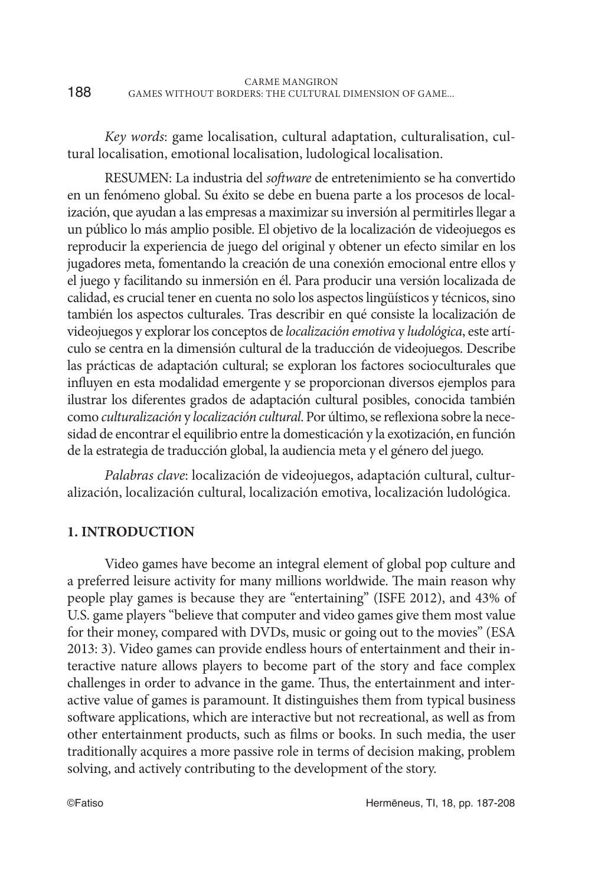|     | CARME MANGIRON                                        |
|-----|-------------------------------------------------------|
| 188 | GAMES WITHOUT BORDERS: THE CULTURAL DIMENSION OF GAME |

*Key words*: game localisation, cultural adaptation, culturalisation, cultural localisation, emotional localisation, ludological localisation.

RESUMEN: La industria del *software* de entretenimiento se ha convertido en un fenómeno global. Su éxito se debe en buena parte a los procesos de localización, que ayudan a las empresas a maximizar su inversión al permitirles llegar a un público lo más amplio posible. El objetivo de la localización de videojuegos es reproducir la experiencia de juego del original y obtener un efecto similar en los jugadores meta, fomentando la creación de una conexión emocional entre ellos y el juego y facilitando su inmersión en él. Para producir una versión localizada de calidad, es crucial tener en cuenta no solo los aspectos lingüísticos y técnicos, sino también los aspectos culturales. Tras describir en qué consiste la localización de videojuegos y explorar los conceptos de *localización emotiva* y *ludológica*, este artículo se centra en la dimensión cultural de la traducción de videojuegos. Describe las prácticas de adaptación cultural; se exploran los factores socioculturales que influyen en esta modalidad emergente y se proporcionan diversos ejemplos para ilustrar los diferentes grados de adaptación cultural posibles, conocida también como *culturalización* y *localización cultural*. Por último, se reflexiona sobre la necesidad de encontrar el equilibrio entre la domesticación y la exotización, en función de la estrategia de traducción global, la audiencia meta y el género del juego.

*Palabras clave*: localización de videojuegos, adaptación cultural, culturalización, localización cultural, localización emotiva, localización ludológica.

#### **1. INTRODUCTION**

Video games have become an integral element of global pop culture and a preferred leisure activity for many millions worldwide. The main reason why people play games is because they are "entertaining" (ISFE 2012), and 43% of U.S. game players "believe that computer and video games give them most value for their money, compared with DVDs, music or going out to the movies" (ESA 2013: 3). Video games can provide endless hours of entertainment and their interactive nature allows players to become part of the story and face complex challenges in order to advance in the game. Thus, the entertainment and interactive value of games is paramount. It distinguishes them from typical business software applications, which are interactive but not recreational, as well as from other entertainment products, such as films or books. In such media, the user traditionally acquires a more passive role in terms of decision making, problem solving, and actively contributing to the development of the story.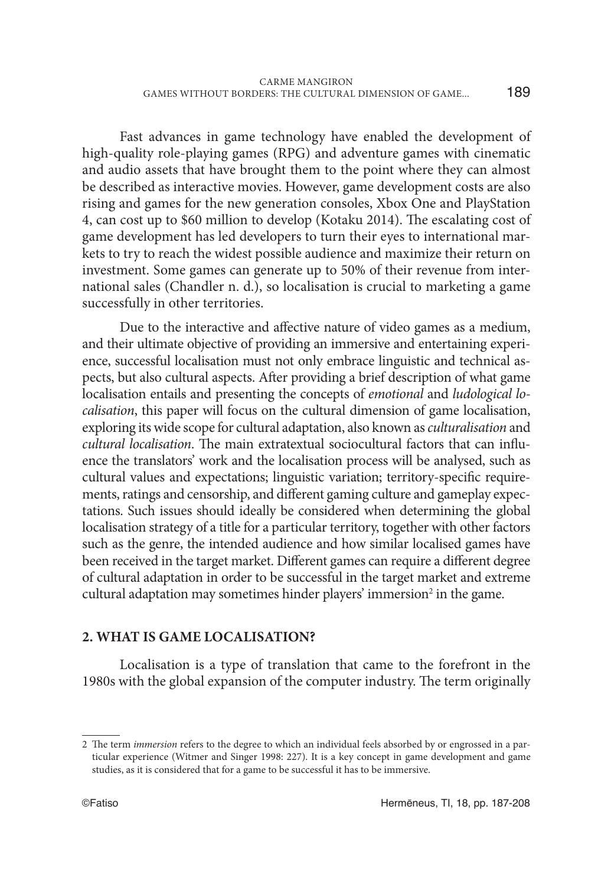189

Fast advances in game technology have enabled the development of high-quality role-playing games (RPG) and adventure games with cinematic and audio assets that have brought them to the point where they can almost be described as interactive movies. However, game development costs are also rising and games for the new generation consoles, Xbox One and PlayStation 4, can cost up to \$60 million to develop (Kotaku 2014). The escalating cost of game development has led developers to turn their eyes to international markets to try to reach the widest possible audience and maximize their return on investment. Some games can generate up to 50% of their revenue from international sales (Chandler n. d.), so localisation is crucial to marketing a game successfully in other territories.

Due to the interactive and affective nature of video games as a medium, and their ultimate objective of providing an immersive and entertaining experience, successful localisation must not only embrace linguistic and technical aspects, but also cultural aspects. After providing a brief description of what game localisation entails and presenting the concepts of *emotional* and *ludological localisation*, this paper will focus on the cultural dimension of game localisation, exploring its wide scope for cultural adaptation, also known as *culturalisation* and *cultural localisation*. The main extratextual sociocultural factors that can influence the translators' work and the localisation process will be analysed, such as cultural values and expectations; linguistic variation; territory-specific requirements, ratings and censorship, and different gaming culture and gameplay expectations. Such issues should ideally be considered when determining the global localisation strategy of a title for a particular territory, together with other factors such as the genre, the intended audience and how similar localised games have been received in the target market. Different games can require a different degree of cultural adaptation in order to be successful in the target market and extreme cultural adaptation may sometimes hinder players' immersion<sup>2</sup> in the game.

## **2. WHAT IS GAME LOCALISATION?**

Localisation is a type of translation that came to the forefront in the 1980s with the global expansion of the computer industry. The term originally

<sup>2</sup> The term *immersion* refers to the degree to which an individual feels absorbed by or engrossed in a particular experience (Witmer and Singer 1998: 227). It is a key concept in game development and game studies, as it is considered that for a game to be successful it has to be immersive.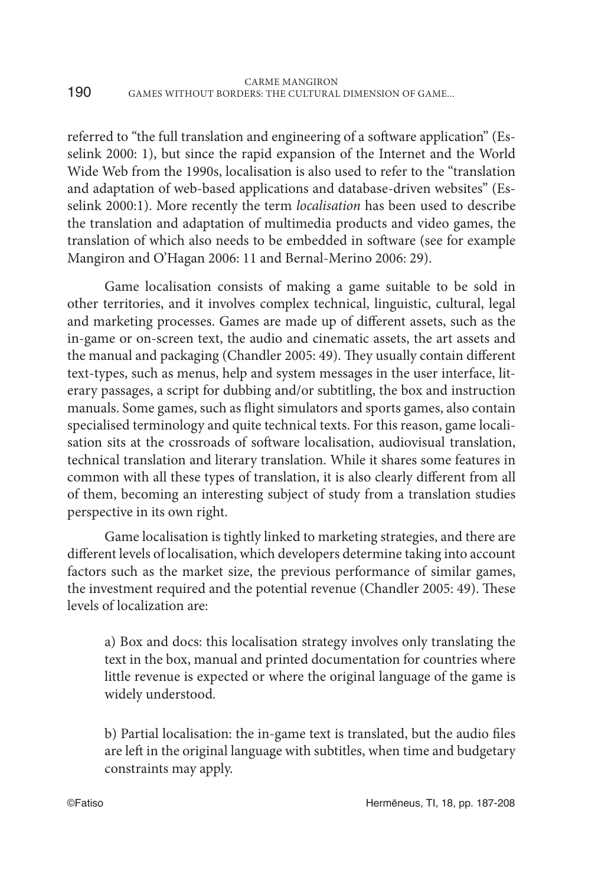referred to "the full translation and engineering of a software application" (Esselink 2000: 1), but since the rapid expansion of the Internet and the World Wide Web from the 1990s, localisation is also used to refer to the "translation and adaptation of web-based applications and database-driven websites" (Esselink 2000:1). More recently the term *localisation* has been used to describe the translation and adaptation of multimedia products and video games, the translation of which also needs to be embedded in software (see for example Mangiron and O'Hagan 2006: 11 and Bernal-Merino 2006: 29).

Game localisation consists of making a game suitable to be sold in other territories, and it involves complex technical, linguistic, cultural, legal and marketing processes. Games are made up of different assets, such as the in-game or on-screen text, the audio and cinematic assets, the art assets and the manual and packaging (Chandler 2005: 49). They usually contain different text-types, such as menus, help and system messages in the user interface, literary passages, a script for dubbing and/or subtitling, the box and instruction manuals. Some games, such as flight simulators and sports games, also contain specialised terminology and quite technical texts. For this reason, game localisation sits at the crossroads of software localisation, audiovisual translation, technical translation and literary translation. While it shares some features in common with all these types of translation, it is also clearly different from all of them, becoming an interesting subject of study from a translation studies perspective in its own right.

Game localisation is tightly linked to marketing strategies, and there are different levels of localisation, which developers determine taking into account factors such as the market size, the previous performance of similar games, the investment required and the potential revenue (Chandler 2005: 49). These levels of localization are:

a) Box and docs: this localisation strategy involves only translating the text in the box, manual and printed documentation for countries where little revenue is expected or where the original language of the game is widely understood.

b) Partial localisation: the in-game text is translated, but the audio files are left in the original language with subtitles, when time and budgetary constraints may apply.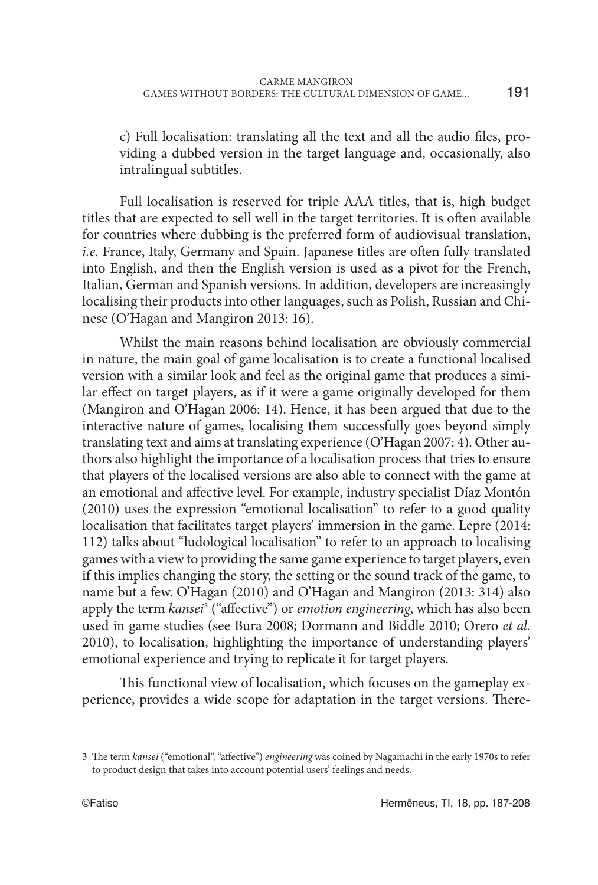c) Full localisation: translating all the text and all the audio files, providing a dubbed version in the target language and, occasionally, also intralingual subtitles.

Full localisation is reserved for triple AAA titles, that is, high budget titles that are expected to sell well in the target territories. It is often available for countries where dubbing is the preferred form of audiovisual translation, *i.e.* France, Italy, Germany and Spain. Japanese titles are often fully translated into English, and then the English version is used as a pivot for the French, Italian, German and Spanish versions. In addition, developers are increasingly localising their products into other languages, such as Polish, Russian and Chinese (O'Hagan and Mangiron 2013: 16).

Whilst the main reasons behind localisation are obviously commercial in nature, the main goal of game localisation is to create a functional localised version with a similar look and feel as the original game that produces a similar effect on target players, as if it were a game originally developed for them (Mangiron and O'Hagan 2006: 14). Hence, it has been argued that due to the interactive nature of games, localising them successfully goes beyond simply translating text and aims at translating experience (O'Hagan 2007: 4). Other authors also highlight the importance of a localisation process that tries to ensure that players of the localised versions are also able to connect with the game at an emotional and affective level. For example, industry specialist Díaz Montón (2010) uses the expression "emotional localisation" to refer to a good quality localisation that facilitates target players' immersion in the game. Lepre (2014: 112) talks about "ludological localisation" to refer to an approach to localising games with a view to providing the same game experience to target players, even if this implies changing the story, the setting or the sound track of the game, to name but a few. O'Hagan (2010) and O'Hagan and Mangiron (2013: 314) also apply the term *kansei3* ("affective") or *emotion engineering*, which has also been used in game studies (see Bura 2008; Dormann and Biddle 2010; Orero *et al.* 2010), to localisation, highlighting the importance of understanding players' emotional experience and trying to replicate it for target players.

This functional view of localisation, which focuses on the gameplay experience, provides a wide scope for adaptation in the target versions. There-

<sup>3</sup> The term *kansei* ("emotional", "affective") *engineering* was coined by Nagamachi in the early 1970s to refer to product design that takes into account potential users' feelings and needs.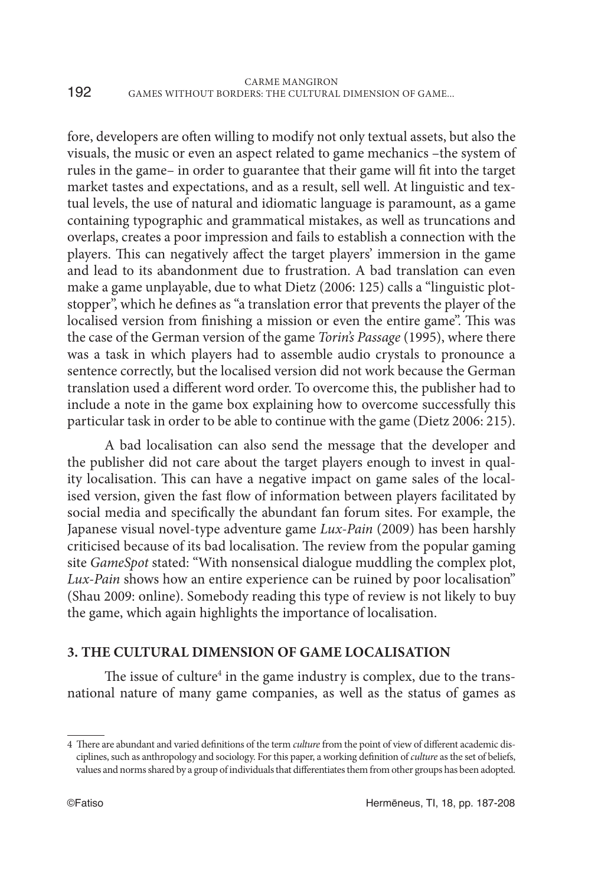fore, developers are often willing to modify not only textual assets, but also the visuals, the music or even an aspect related to game mechanics –the system of rules in the game– in order to guarantee that their game will fit into the target market tastes and expectations, and as a result, sell well. At linguistic and textual levels, the use of natural and idiomatic language is paramount, as a game containing typographic and grammatical mistakes, as well as truncations and overlaps, creates a poor impression and fails to establish a connection with the players. This can negatively affect the target players' immersion in the game and lead to its abandonment due to frustration. A bad translation can even make a game unplayable, due to what Dietz (2006: 125) calls a "linguistic plotstopper", which he defines as "a translation error that prevents the player of the localised version from finishing a mission or even the entire game". This was the case of the German version of the game *Torin's Passage* (1995), where there was a task in which players had to assemble audio crystals to pronounce a sentence correctly, but the localised version did not work because the German translation used a different word order. To overcome this, the publisher had to include a note in the game box explaining how to overcome successfully this particular task in order to be able to continue with the game (Dietz 2006: 215).

A bad localisation can also send the message that the developer and the publisher did not care about the target players enough to invest in quality localisation. This can have a negative impact on game sales of the localised version, given the fast flow of information between players facilitated by social media and specifically the abundant fan forum sites. For example, the Japanese visual novel-type adventure game *Lux-Pain* (2009) has been harshly criticised because of its bad localisation. The review from the popular gaming site *GameSpot* stated: "With nonsensical dialogue muddling the complex plot, *Lux-Pain* shows how an entire experience can be ruined by poor localisation" (Shau 2009: online). Somebody reading this type of review is not likely to buy the game, which again highlights the importance of localisation.

# **3. THE CULTURAL DIMENSION OF GAME LOCALISATION**

The issue of culture<sup>4</sup> in the game industry is complex, due to the transnational nature of many game companies, as well as the status of games as

<sup>4</sup> There are abundant and varied definitions of the term *culture* from the point of view of different academic disciplines, such as anthropology and sociology. For this paper, a working definition of *culture* as the set of beliefs, values and norms shared by a group of individuals that differentiates them from other groups has been adopted.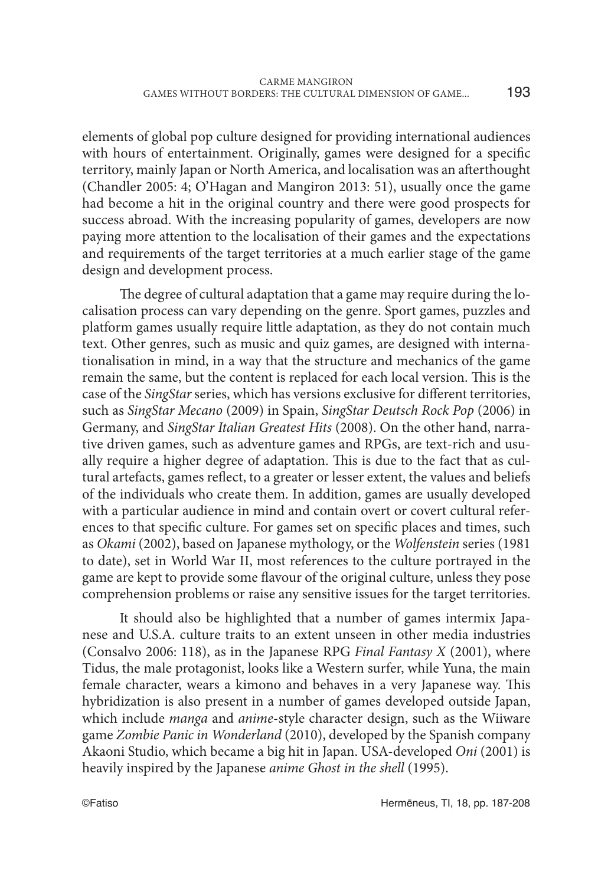elements of global pop culture designed for providing international audiences with hours of entertainment. Originally, games were designed for a specific territory, mainly Japan or North America, and localisation was an afterthought (Chandler 2005: 4; O'Hagan and Mangiron 2013: 51), usually once the game had become a hit in the original country and there were good prospects for success abroad. With the increasing popularity of games, developers are now paying more attention to the localisation of their games and the expectations and requirements of the target territories at a much earlier stage of the game design and development process.

The degree of cultural adaptation that a game may require during the localisation process can vary depending on the genre. Sport games, puzzles and platform games usually require little adaptation, as they do not contain much text. Other genres, such as music and quiz games, are designed with internationalisation in mind, in a way that the structure and mechanics of the game remain the same, but the content is replaced for each local version. This is the case of the *SingStar* series, which has versions exclusive for different territories, such as *SingStar Mecano* (2009) in Spain, *SingStar Deutsch Rock Pop* (2006) in Germany, and *SingStar Italian Greatest Hits* (2008). On the other hand, narrative driven games, such as adventure games and RPGs, are text-rich and usually require a higher degree of adaptation. This is due to the fact that as cultural artefacts, games reflect, to a greater or lesser extent, the values and beliefs of the individuals who create them. In addition, games are usually developed with a particular audience in mind and contain overt or covert cultural references to that specific culture. For games set on specific places and times, such as *Okami* (2002), based on Japanese mythology, or the *Wolfenstein* series (1981 to date), set in World War II, most references to the culture portrayed in the game are kept to provide some flavour of the original culture, unless they pose comprehension problems or raise any sensitive issues for the target territories.

It should also be highlighted that a number of games intermix Japanese and U.S.A. culture traits to an extent unseen in other media industries (Consalvo 2006: 118), as in the Japanese RPG *Final Fantasy X* (2001), where Tidus, the male protagonist, looks like a Western surfer, while Yuna, the main female character, wears a kimono and behaves in a very Japanese way. This hybridization is also present in a number of games developed outside Japan, which include *manga* and *anime*-style character design, such as the Wiiware game *Zombie Panic in Wonderland* (2010), developed by the Spanish company Akaoni Studio, which became a big hit in Japan. USA-developed *Oni* (2001) is heavily inspired by the Japanese *anime Ghost in the shell* (1995).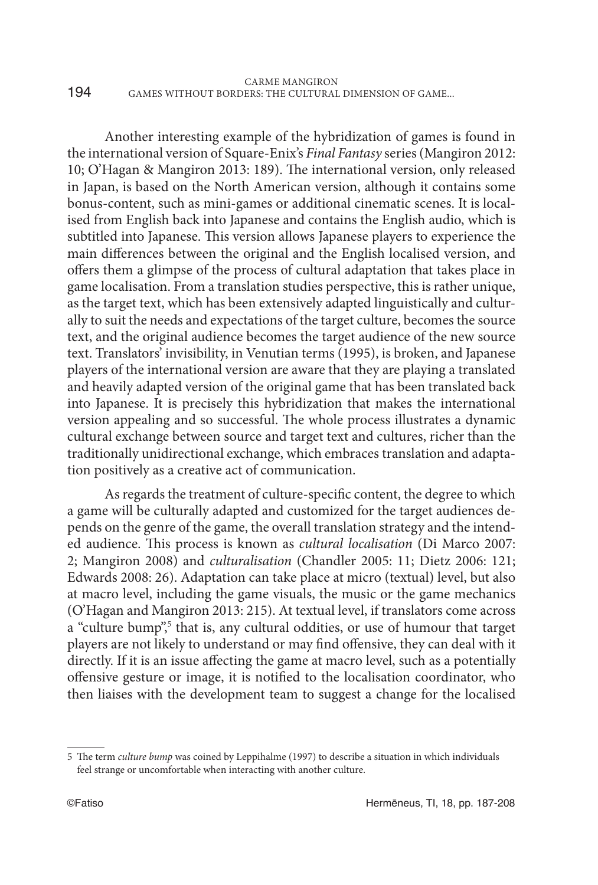|     | <b>CARME MANGIRON</b>                                 |
|-----|-------------------------------------------------------|
| 194 | GAMES WITHOUT BORDERS: THE CULTURAL DIMENSION OF GAME |

Another interesting example of the hybridization of games is found in the international version of Square-Enix's *Final Fantasy* series (Mangiron 2012: 10; O'Hagan & Mangiron 2013: 189). The international version, only released in Japan, is based on the North American version, although it contains some bonus-content, such as mini-games or additional cinematic scenes. It is localised from English back into Japanese and contains the English audio, which is subtitled into Japanese. This version allows Japanese players to experience the main differences between the original and the English localised version, and offers them a glimpse of the process of cultural adaptation that takes place in game localisation. From a translation studies perspective, this is rather unique, as the target text, which has been extensively adapted linguistically and culturally to suit the needs and expectations of the target culture, becomes the source text, and the original audience becomes the target audience of the new source text. Translators' invisibility, in Venutian terms (1995), is broken, and Japanese players of the international version are aware that they are playing a translated and heavily adapted version of the original game that has been translated back into Japanese. It is precisely this hybridization that makes the international version appealing and so successful. The whole process illustrates a dynamic cultural exchange between source and target text and cultures, richer than the traditionally unidirectional exchange, which embraces translation and adaptation positively as a creative act of communication.

As regards the treatment of culture-specific content, the degree to which a game will be culturally adapted and customized for the target audiences depends on the genre of the game, the overall translation strategy and the intended audience. This process is known as *cultural localisation* (Di Marco 2007: 2; Mangiron 2008) and *culturalisation* (Chandler 2005: 11; Dietz 2006: 121; Edwards 2008: 26). Adaptation can take place at micro (textual) level, but also at macro level, including the game visuals, the music or the game mechanics (O'Hagan and Mangiron 2013: 215). At textual level, if translators come across a "culture bump",<sup>5</sup> that is, any cultural oddities, or use of humour that target players are not likely to understand or may find offensive, they can deal with it directly. If it is an issue affecting the game at macro level, such as a potentially offensive gesture or image, it is notified to the localisation coordinator, who then liaises with the development team to suggest a change for the localised

<sup>5</sup> The term *culture bump* was coined by Leppihalme (1997) to describe a situation in which individuals feel strange or uncomfortable when interacting with another culture.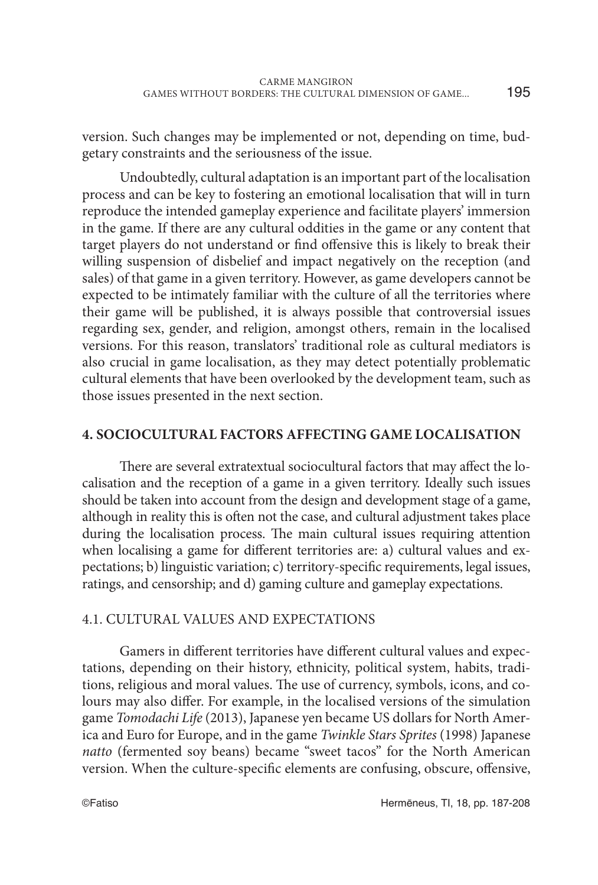version. Such changes may be implemented or not, depending on time, budgetary constraints and the seriousness of the issue.

Undoubtedly, cultural adaptation is an important part of the localisation process and can be key to fostering an emotional localisation that will in turn reproduce the intended gameplay experience and facilitate players' immersion in the game. If there are any cultural oddities in the game or any content that target players do not understand or find offensive this is likely to break their willing suspension of disbelief and impact negatively on the reception (and sales) of that game in a given territory. However, as game developers cannot be expected to be intimately familiar with the culture of all the territories where their game will be published, it is always possible that controversial issues regarding sex, gender, and religion, amongst others, remain in the localised versions. For this reason, translators' traditional role as cultural mediators is also crucial in game localisation, as they may detect potentially problematic cultural elements that have been overlooked by the development team, such as those issues presented in the next section.

## **4. SOCIOCULTURAL FACTORS AFFECTING GAME LOCALISATION**

There are several extratextual sociocultural factors that may affect the localisation and the reception of a game in a given territory. Ideally such issues should be taken into account from the design and development stage of a game, although in reality this is often not the case, and cultural adjustment takes place during the localisation process. The main cultural issues requiring attention when localising a game for different territories are: a) cultural values and expectations; b) linguistic variation; c) territory-specific requirements, legal issues, ratings, and censorship; and d) gaming culture and gameplay expectations.

## 4.1. CULTURAL VALUES AND EXPECTATIONS

Gamers in different territories have different cultural values and expectations, depending on their history, ethnicity, political system, habits, traditions, religious and moral values. The use of currency, symbols, icons, and colours may also differ. For example, in the localised versions of the simulation game *Tomodachi Life* (2013), Japanese yen became US dollars for North America and Euro for Europe, and in the game *Twinkle Stars Sprites* (1998) Japanese *natto* (fermented soy beans) became "sweet tacos" for the North American version. When the culture-specific elements are confusing, obscure, offensive,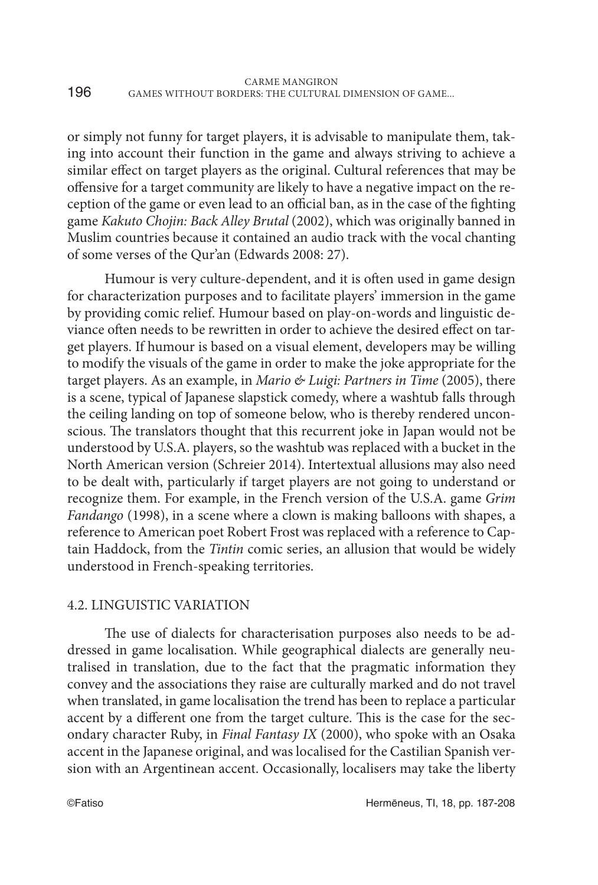or simply not funny for target players, it is advisable to manipulate them, taking into account their function in the game and always striving to achieve a similar effect on target players as the original. Cultural references that may be offensive for a target community are likely to have a negative impact on the reception of the game or even lead to an official ban, as in the case of the fighting game *Kakuto Chojin: Back Alley Brutal* (2002), which was originally banned in Muslim countries because it contained an audio track with the vocal chanting of some verses of the Qur'an (Edwards 2008: 27).

Humour is very culture-dependent, and it is often used in game design for characterization purposes and to facilitate players' immersion in the game by providing comic relief. Humour based on play-on-words and linguistic deviance often needs to be rewritten in order to achieve the desired effect on target players. If humour is based on a visual element, developers may be willing to modify the visuals of the game in order to make the joke appropriate for the target players. As an example, in *Mario & Luigi: Partners in Time* (2005), there is a scene, typical of Japanese slapstick comedy, where a washtub falls through the ceiling landing on top of someone below, who is thereby rendered unconscious. The translators thought that this recurrent joke in Japan would not be understood by U.S.A. players, so the washtub was replaced with a bucket in the North American version (Schreier 2014). Intertextual allusions may also need to be dealt with, particularly if target players are not going to understand or recognize them. For example, in the French version of the U.S.A. game *Grim Fandango* (1998), in a scene where a clown is making balloons with shapes, a reference to American poet Robert Frost was replaced with a reference to Captain Haddock, from the *Tintin* comic series, an allusion that would be widely understood in French-speaking territories.

## 4.2. LINGUISTIC VARIATION

The use of dialects for characterisation purposes also needs to be addressed in game localisation. While geographical dialects are generally neutralised in translation, due to the fact that the pragmatic information they convey and the associations they raise are culturally marked and do not travel when translated, in game localisation the trend has been to replace a particular accent by a different one from the target culture. This is the case for the secondary character Ruby, in *Final Fantasy IX* (2000), who spoke with an Osaka accent in the Japanese original, and was localised for the Castilian Spanish version with an Argentinean accent. Occasionally, localisers may take the liberty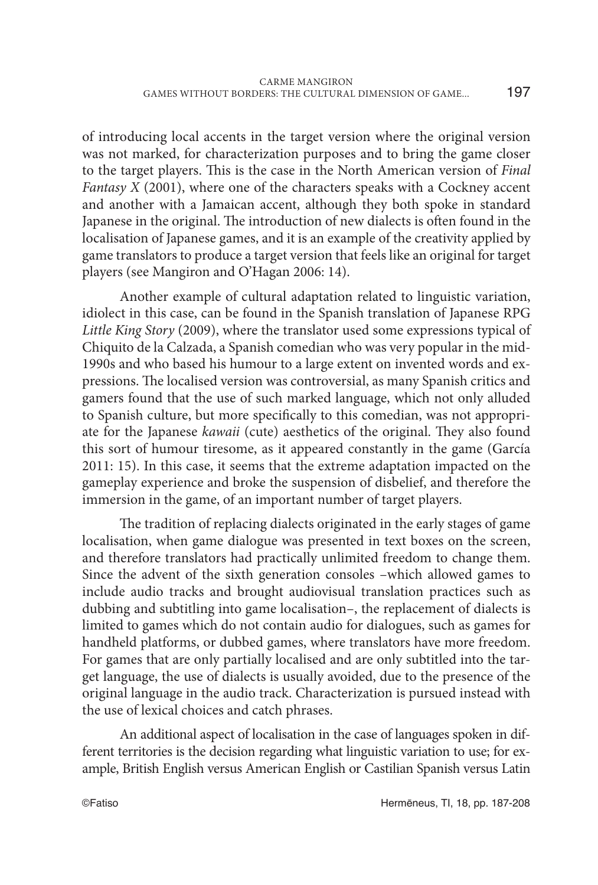of introducing local accents in the target version where the original version was not marked, for characterization purposes and to bring the game closer to the target players. This is the case in the North American version of *Final Fantasy X* (2001), where one of the characters speaks with a Cockney accent and another with a Jamaican accent, although they both spoke in standard Japanese in the original. The introduction of new dialects is often found in the localisation of Japanese games, and it is an example of the creativity applied by game translators to produce a target version that feels like an original for target players (see Mangiron and O'Hagan 2006: 14).

Another example of cultural adaptation related to linguistic variation, idiolect in this case, can be found in the Spanish translation of Japanese RPG *Little King Story* (2009), where the translator used some expressions typical of Chiquito de la Calzada, a Spanish comedian who was very popular in the mid-1990s and who based his humour to a large extent on invented words and expressions. The localised version was controversial, as many Spanish critics and gamers found that the use of such marked language, which not only alluded to Spanish culture, but more specifically to this comedian, was not appropriate for the Japanese *kawaii* (cute) aesthetics of the original. They also found this sort of humour tiresome, as it appeared constantly in the game (García 2011: 15). In this case, it seems that the extreme adaptation impacted on the gameplay experience and broke the suspension of disbelief, and therefore the immersion in the game, of an important number of target players.

The tradition of replacing dialects originated in the early stages of game localisation, when game dialogue was presented in text boxes on the screen, and therefore translators had practically unlimited freedom to change them. Since the advent of the sixth generation consoles –which allowed games to include audio tracks and brought audiovisual translation practices such as dubbing and subtitling into game localisation–, the replacement of dialects is limited to games which do not contain audio for dialogues, such as games for handheld platforms, or dubbed games, where translators have more freedom. For games that are only partially localised and are only subtitled into the target language, the use of dialects is usually avoided, due to the presence of the original language in the audio track. Characterization is pursued instead with the use of lexical choices and catch phrases.

An additional aspect of localisation in the case of languages spoken in different territories is the decision regarding what linguistic variation to use; for example, British English versus American English or Castilian Spanish versus Latin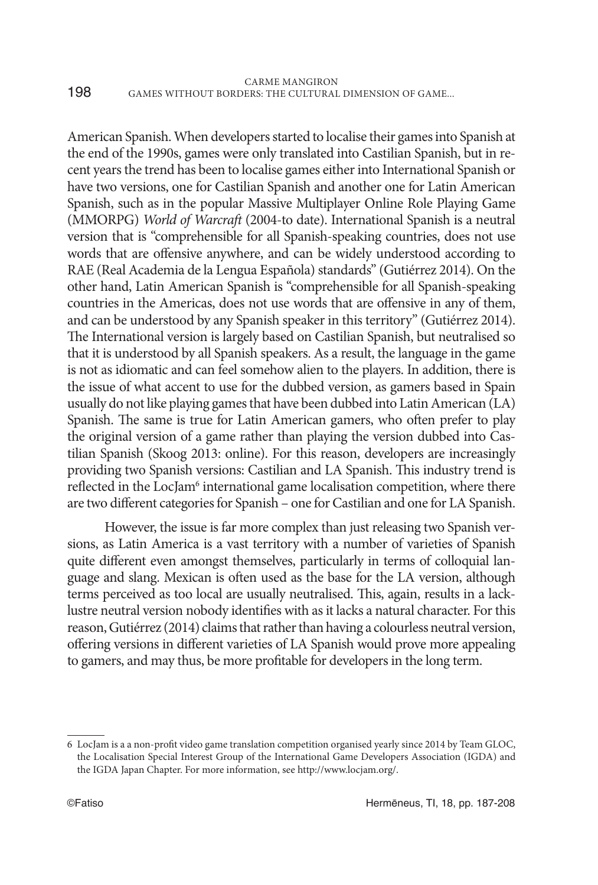American Spanish. When developers started to localise their games into Spanish at the end of the 1990s, games were only translated into Castilian Spanish, but in recent years the trend has been to localise games either into International Spanish or have two versions, one for Castilian Spanish and another one for Latin American Spanish, such as in the popular Massive Multiplayer Online Role Playing Game (MMORPG) *World of Warcraft* (2004-to date). International Spanish is a neutral version that is "comprehensible for all Spanish-speaking countries, does not use words that are offensive anywhere, and can be widely understood according to RAE (Real Academia de la Lengua Española) standards" (Gutiérrez 2014). On the other hand, Latin American Spanish is "comprehensible for all Spanish-speaking countries in the Americas, does not use words that are offensive in any of them, and can be understood by any Spanish speaker in this territory" (Gutiérrez 2014). The International version is largely based on Castilian Spanish, but neutralised so that it is understood by all Spanish speakers. As a result, the language in the game is not as idiomatic and can feel somehow alien to the players. In addition, there is the issue of what accent to use for the dubbed version, as gamers based in Spain usually do not like playing games that have been dubbed into Latin American (LA) Spanish. The same is true for Latin American gamers, who often prefer to play the original version of a game rather than playing the version dubbed into Castilian Spanish (Skoog 2013: online). For this reason, developers are increasingly providing two Spanish versions: Castilian and LA Spanish. This industry trend is reflected in the LocJam<sup>6</sup> international game localisation competition, where there are two different categories for Spanish – one for Castilian and one for LA Spanish.

However, the issue is far more complex than just releasing two Spanish versions, as Latin America is a vast territory with a number of varieties of Spanish quite different even amongst themselves, particularly in terms of colloquial language and slang. Mexican is often used as the base for the LA version, although terms perceived as too local are usually neutralised. This, again, results in a lacklustre neutral version nobody identifies with as it lacks a natural character. For this reason, Gutiérrez (2014) claims that rather than having a colourless neutral version, offering versions in different varieties of LA Spanish would prove more appealing to gamers, and may thus, be more profitable for developers in the long term.

<sup>6</sup> LocJam is a a non-profit video game translation competition organised yearly since 2014 by Team GLOC, the Localisation Special Interest Group of the International Game Developers Association (IGDA) and the IGDA Japan Chapter. For more information, see http://www.locjam.org/.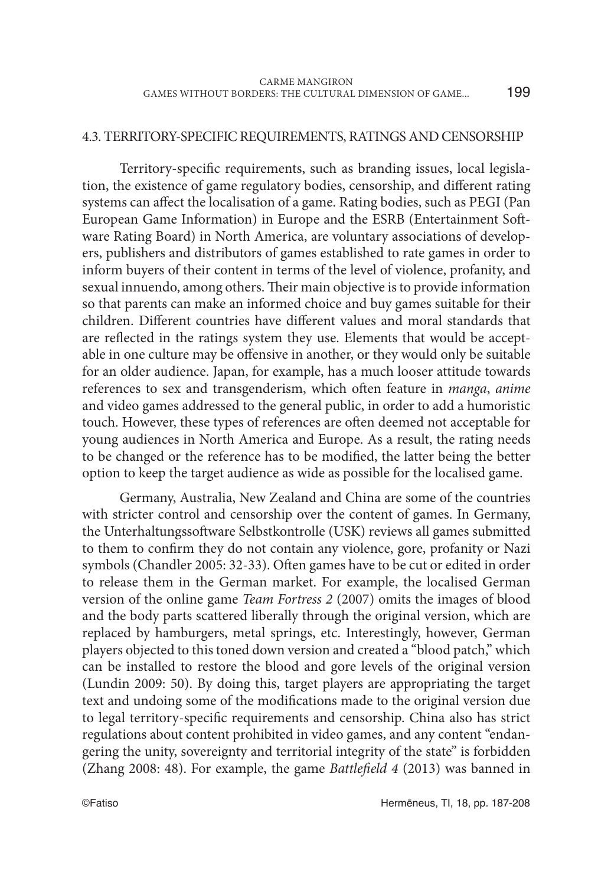199

#### 4.3. TERRITORY-SPECIFIC REQUIREMENTS, RATINGS AND CENSORSHIP

Territory-specific requirements, such as branding issues, local legislation, the existence of game regulatory bodies, censorship, and different rating systems can affect the localisation of a game. Rating bodies, such as PEGI (Pan European Game Information) in Europe and the ESRB (Entertainment Software Rating Board) in North America, are voluntary associations of developers, publishers and distributors of games established to rate games in order to inform buyers of their content in terms of the level of violence, profanity, and sexual innuendo, among others. Their main objective is to provide information so that parents can make an informed choice and buy games suitable for their children. Different countries have different values and moral standards that are reflected in the ratings system they use. Elements that would be acceptable in one culture may be offensive in another, or they would only be suitable for an older audience. Japan, for example, has a much looser attitude towards references to sex and transgenderism, which often feature in *manga*, *anime* and video games addressed to the general public, in order to add a humoristic touch. However, these types of references are often deemed not acceptable for young audiences in North America and Europe. As a result, the rating needs to be changed or the reference has to be modified, the latter being the better option to keep the target audience as wide as possible for the localised game.

Germany, Australia, New Zealand and China are some of the countries with stricter control and censorship over the content of games. In Germany, the Unterhaltungssoftware Selbstkontrolle (USK) reviews all games submitted to them to confirm they do not contain any violence, gore, profanity or Nazi symbols (Chandler 2005: 32-33). Often games have to be cut or edited in order to release them in the German market. For example, the localised German version of the online game *Team Fortress 2* (2007) omits the images of blood and the body parts scattered liberally through the original version, which are replaced by hamburgers, metal springs, etc. Interestingly, however, German players objected to this toned down version and created a "blood patch," which can be installed to restore the blood and gore levels of the original version (Lundin 2009: 50). By doing this, target players are appropriating the target text and undoing some of the modifications made to the original version due to legal territory-specific requirements and censorship. China also has strict regulations about content prohibited in video games, and any content "endangering the unity, sovereignty and territorial integrity of the state" is forbidden (Zhang 2008: 48). For example, the game *Battlefield 4* (2013) was banned in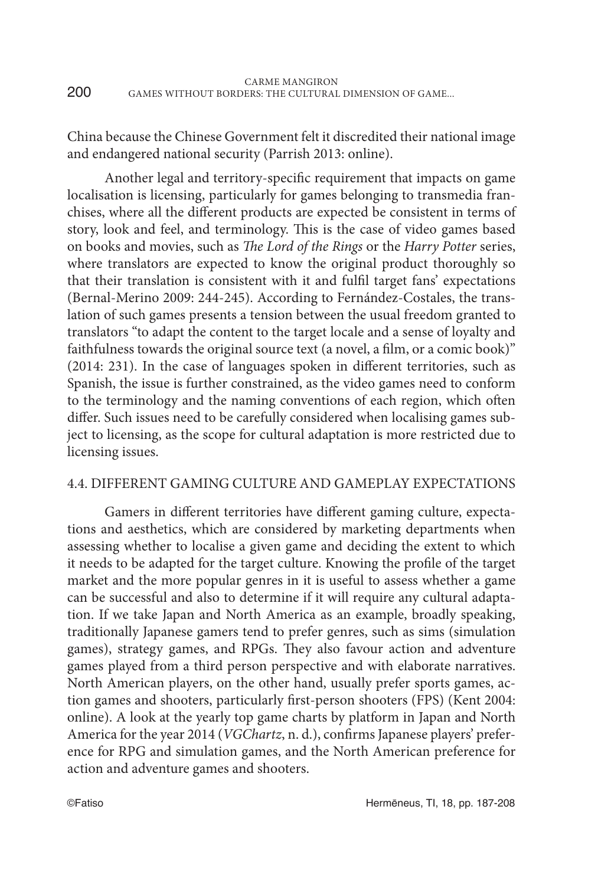| 200 | CARME MANGIRON                                        |
|-----|-------------------------------------------------------|
|     | GAMES WITHOUT BORDERS: THE CULTURAL DIMENSION OF GAME |

China because the Chinese Government felt it discredited their national image and endangered national security (Parrish 2013: online).

Another legal and territory-specific requirement that impacts on game localisation is licensing, particularly for games belonging to transmedia franchises, where all the different products are expected be consistent in terms of story, look and feel, and terminology. This is the case of video games based on books and movies, such as *The Lord of the Rings* or the *Harry Potter* series, where translators are expected to know the original product thoroughly so that their translation is consistent with it and fulfil target fans' expectations (Bernal-Merino 2009: 244-245). According to Fernández-Costales, the translation of such games presents a tension between the usual freedom granted to translators "to adapt the content to the target locale and a sense of loyalty and faithfulness towards the original source text (a novel, a film, or a comic book)" (2014: 231). In the case of languages spoken in different territories, such as Spanish, the issue is further constrained, as the video games need to conform to the terminology and the naming conventions of each region, which often differ. Such issues need to be carefully considered when localising games subject to licensing, as the scope for cultural adaptation is more restricted due to licensing issues.

#### 4.4. DIFFERENT GAMING CULTURE AND GAMEPLAY EXPECTATIONS

Gamers in different territories have different gaming culture, expectations and aesthetics, which are considered by marketing departments when assessing whether to localise a given game and deciding the extent to which it needs to be adapted for the target culture. Knowing the profile of the target market and the more popular genres in it is useful to assess whether a game can be successful and also to determine if it will require any cultural adaptation. If we take Japan and North America as an example, broadly speaking, traditionally Japanese gamers tend to prefer genres, such as sims (simulation games), strategy games, and RPGs. They also favour action and adventure games played from a third person perspective and with elaborate narratives. North American players, on the other hand, usually prefer sports games, action games and shooters, particularly first-person shooters (FPS) (Kent 2004: online). A look at the yearly top game charts by platform in Japan and North America for the year 2014 (*VGChartz*, n. d.), confirms Japanese players' preference for RPG and simulation games, and the North American preference for action and adventure games and shooters.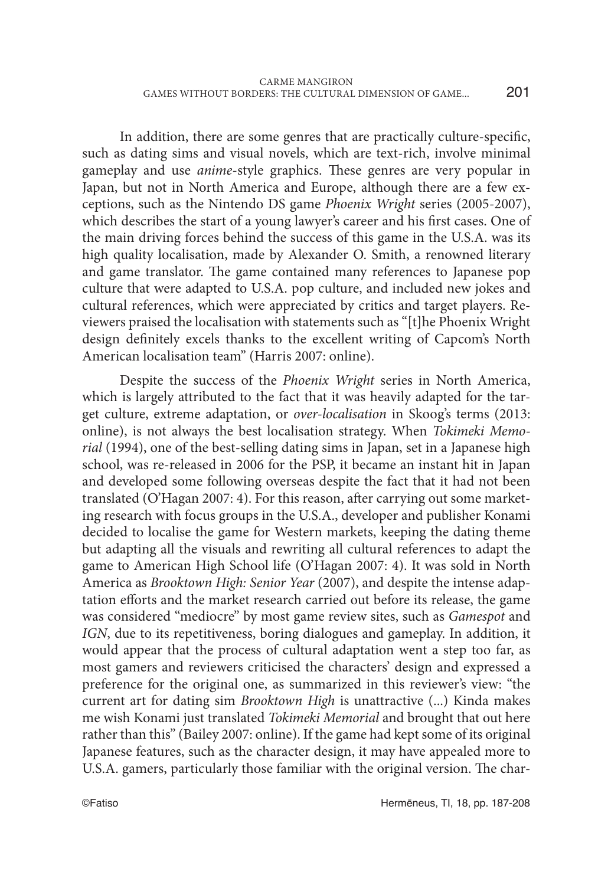In addition, there are some genres that are practically culture-specific, such as dating sims and visual novels, which are text-rich, involve minimal gameplay and use *anime*-style graphics. These genres are very popular in Japan, but not in North America and Europe, although there are a few exceptions, such as the Nintendo DS game *Phoenix Wright* series (2005-2007), which describes the start of a young lawyer's career and his first cases. One of the main driving forces behind the success of this game in the U.S.A. was its high quality localisation, made by Alexander O. Smith, a renowned literary and game translator. The game contained many references to Japanese pop culture that were adapted to U.S.A. pop culture, and included new jokes and cultural references, which were appreciated by critics and target players. Reviewers praised the localisation with statements such as "[t]he Phoenix Wright design definitely excels thanks to the excellent writing of Capcom's North American localisation team" (Harris 2007: online).

Despite the success of the *Phoenix Wright* series in North America, which is largely attributed to the fact that it was heavily adapted for the target culture, extreme adaptation, or *over-localisation* in Skoog's terms (2013: online), is not always the best localisation strategy. When *Tokimeki Memorial* (1994), one of the best-selling dating sims in Japan, set in a Japanese high school, was re-released in 2006 for the PSP, it became an instant hit in Japan and developed some following overseas despite the fact that it had not been translated (O'Hagan 2007: 4). For this reason, after carrying out some marketing research with focus groups in the U.S.A., developer and publisher Konami decided to localise the game for Western markets, keeping the dating theme but adapting all the visuals and rewriting all cultural references to adapt the game to American High School life (O'Hagan 2007: 4). It was sold in North America as *Brooktown High: Senior Year* (2007), and despite the intense adaptation efforts and the market research carried out before its release, the game was considered "mediocre" by most game review sites, such as *Gamespot* and *IGN*, due to its repetitiveness, boring dialogues and gameplay. In addition, it would appear that the process of cultural adaptation went a step too far, as most gamers and reviewers criticised the characters' design and expressed a preference for the original one, as summarized in this reviewer's view: "the current art for dating sim *Brooktown High* is unattractive (...) Kinda makes me wish Konami just translated *Tokimeki Memorial* and brought that out here rather than this" (Bailey 2007: online). If the game had kept some of its original Japanese features, such as the character design, it may have appealed more to U.S.A. gamers, particularly those familiar with the original version. The char-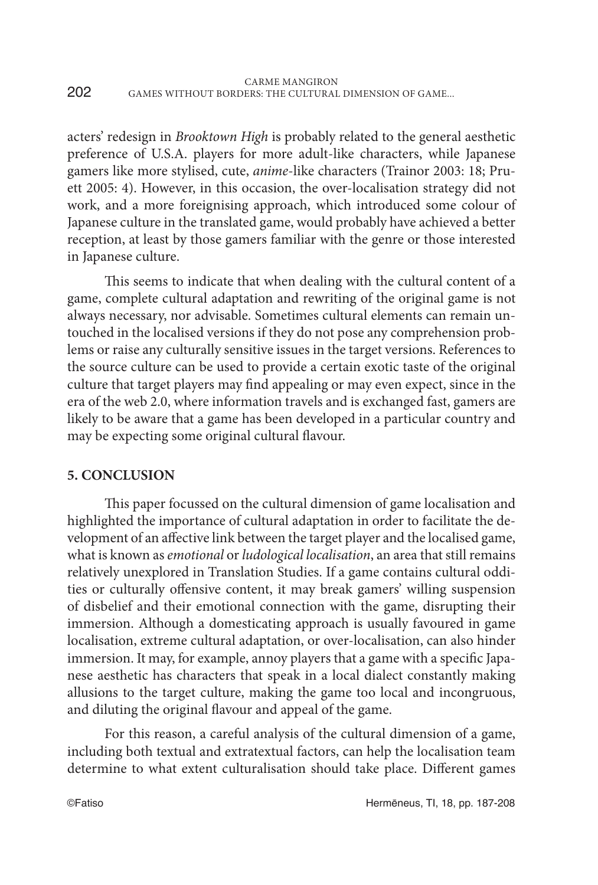acters' redesign in *Brooktown High* is probably related to the general aesthetic preference of U.S.A. players for more adult-like characters, while Japanese gamers like more stylised, cute, *anime*-like characters (Trainor 2003: 18; Pruett 2005: 4). However, in this occasion, the over-localisation strategy did not work, and a more foreignising approach, which introduced some colour of Japanese culture in the translated game, would probably have achieved a better reception, at least by those gamers familiar with the genre or those interested in Japanese culture.

This seems to indicate that when dealing with the cultural content of a game, complete cultural adaptation and rewriting of the original game is not always necessary, nor advisable. Sometimes cultural elements can remain untouched in the localised versions if they do not pose any comprehension problems or raise any culturally sensitive issues in the target versions. References to the source culture can be used to provide a certain exotic taste of the original culture that target players may find appealing or may even expect, since in the era of the web 2.0, where information travels and is exchanged fast, gamers are likely to be aware that a game has been developed in a particular country and may be expecting some original cultural flavour.

## **5. CONCLUSION**

This paper focussed on the cultural dimension of game localisation and highlighted the importance of cultural adaptation in order to facilitate the development of an affective link between the target player and the localised game, what is known as *emotional* or *ludological localisation*, an area that still remains relatively unexplored in Translation Studies. If a game contains cultural oddities or culturally offensive content, it may break gamers' willing suspension of disbelief and their emotional connection with the game, disrupting their immersion. Although a domesticating approach is usually favoured in game localisation, extreme cultural adaptation, or over-localisation, can also hinder immersion. It may, for example, annoy players that a game with a specific Japanese aesthetic has characters that speak in a local dialect constantly making allusions to the target culture, making the game too local and incongruous, and diluting the original flavour and appeal of the game.

For this reason, a careful analysis of the cultural dimension of a game, including both textual and extratextual factors, can help the localisation team determine to what extent culturalisation should take place. Different games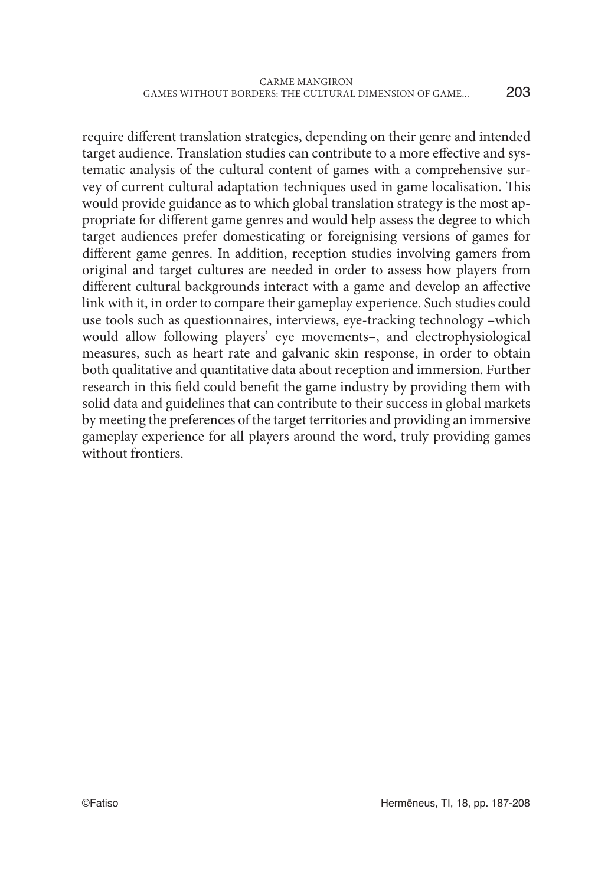203

require different translation strategies, depending on their genre and intended target audience. Translation studies can contribute to a more effective and systematic analysis of the cultural content of games with a comprehensive survey of current cultural adaptation techniques used in game localisation. This would provide guidance as to which global translation strategy is the most appropriate for different game genres and would help assess the degree to which target audiences prefer domesticating or foreignising versions of games for different game genres. In addition, reception studies involving gamers from original and target cultures are needed in order to assess how players from different cultural backgrounds interact with a game and develop an affective link with it, in order to compare their gameplay experience. Such studies could use tools such as questionnaires, interviews, eye-tracking technology –which would allow following players' eye movements–, and electrophysiological measures, such as heart rate and galvanic skin response, in order to obtain both qualitative and quantitative data about reception and immersion. Further research in this field could benefit the game industry by providing them with solid data and guidelines that can contribute to their success in global markets by meeting the preferences of the target territories and providing an immersive gameplay experience for all players around the word, truly providing games without frontiers.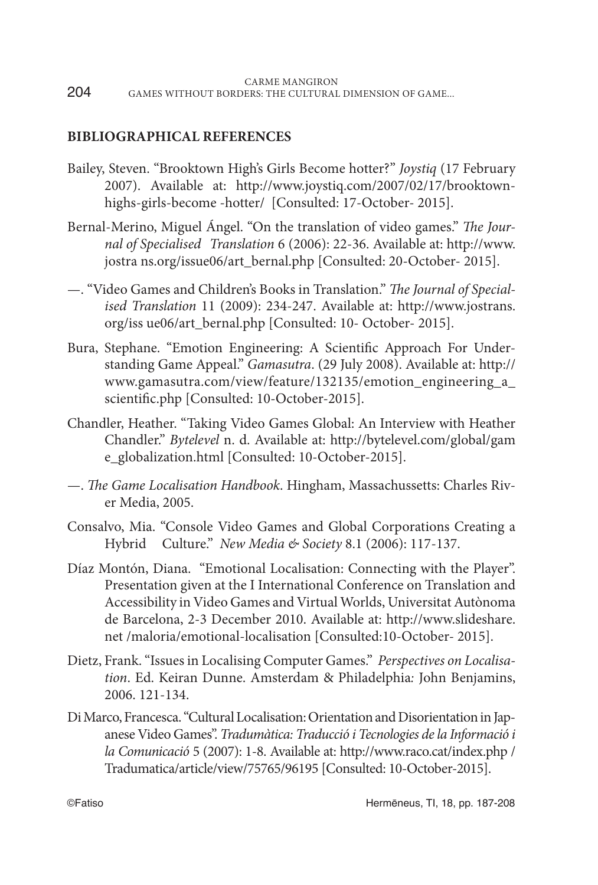## **BIBLIOGRAPHICAL REFERENCES**

- Bailey, Steven. "Brooktown High's Girls Become hotter?" *Joystiq* (17 February 2007). Available at: http://www.joystiq.com/2007/02/17/brooktownhighs-girls-become -hotter/ [Consulted: 17-October- 2015].
- Bernal-Merino, Miguel Ángel. "On the translation of video games." *The Journal of Specialised Translation* 6 (2006): 22-36. Available at: http://www. jostra ns.org/issue06/art\_bernal.php [Consulted: 20-October- 2015].
- —. "Video Games and Children's Books in Translation." *The Journal of Specialised Translation* 11 (2009): 234-247. Available at: http://www.jostrans. org/iss ue06/art\_bernal.php [Consulted: 10- October- 2015].
- Bura, Stephane. "Emotion Engineering: A Scientific Approach For Understanding Game Appeal." *Gamasutra*. (29 July 2008). Available at: http:// www.gamasutra.com/view/feature/132135/emotion\_engineering\_a\_ scientific.php [Consulted: 10-October-2015].
- Chandler, Heather. "Taking Video Games Global: An Interview with Heather Chandler." *Bytelevel* n. d. Available at: http://bytelevel.com/global/gam e\_globalization.html [Consulted: 10-October-2015].
- —. *The Game Localisation Handbook*. Hingham, Massachussetts: Charles River Media, 2005.
- Consalvo, Mia. "Console Video Games and Global Corporations Creating a Hybrid Culture." *New Media & Society* 8.1 (2006): 117-137.
- Díaz Montón, Diana. "Emotional Localisation: Connecting with the Player". Presentation given at the I International Conference on Translation and Accessibility in Video Games and Virtual Worlds, Universitat Autònoma de Barcelona, 2-3 December 2010. Available at: http://www.slideshare. net /maloria/emotional-localisation [Consulted:10-October- 2015].
- Dietz, Frank. "Issues in Localising Computer Games." *Perspectives on Localisation*. Ed. Keiran Dunne. Amsterdam & Philadelphia*:* John Benjamins, 2006. 121-134.
- Di Marco, Francesca. "Cultural Localisation: Orientation and Disorientation in Japanese Video Games". *Tradumàtica: Traducció i Tecnologies de la Informació i la Comunicació* 5 (2007): 1-8. Available at: http://www.raco.cat/index.php / Tradumatica/article/view/75765/96195 [Consulted: 10-October-2015].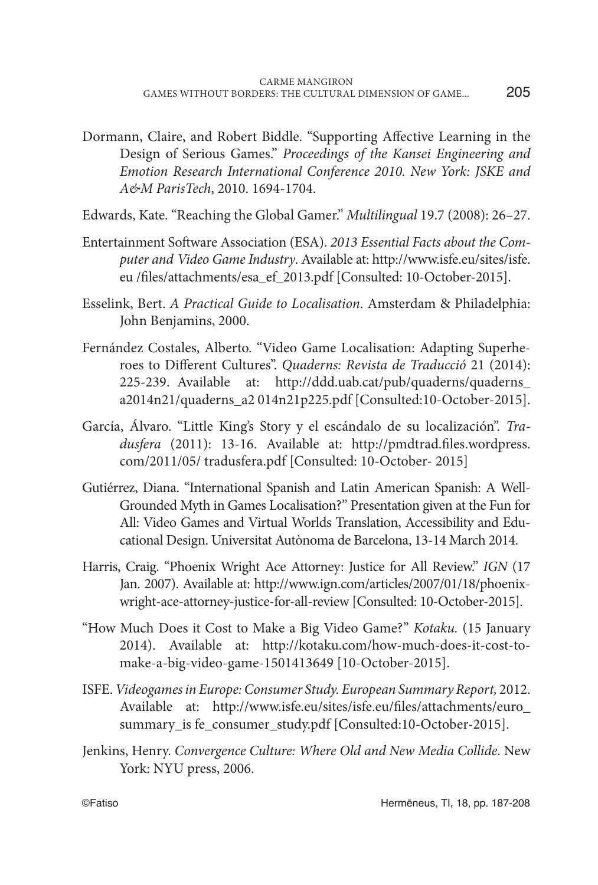- Dormann, Claire, and Robert Biddle. "Supporting Affective Learning in the Design of Serious Games." *Proceedings of the Kansei Engineering and Emotion Research International Conference 2010. New York: JSKE and A&M ParisTech*, 2010. 1694-1704.
- Edwards, Kate. "Reaching the Global Gamer." *Multilingual* 19.7 (2008): 26–27.
- Entertainment Software Association (ESA). *2013 Essential Facts about the Computer and Video Game Industry*. Available at: http://www.isfe.eu/sites/isfe. eu /files/attachments/esa\_ef\_2013.pdf [Consulted: 10-October-2015].
- Esselink, Bert. *A Practical Guide to Localisation*. Amsterdam & Philadelphia: John Benjamins, 2000.
- Fernández Costales, Alberto. "Video Game Localisation: Adapting Superheroes to Different Cultures". *Quaderns: Revista de Traducció* 21 (2014): 225-239. Available at: http://ddd.uab.cat/pub/quaderns/quaderns\_ a2014n21/quaderns\_a2 014n21p225.pdf [Consulted:10-October-2015].
- García, Álvaro. "Little King's Story y el escándalo de su localización". *Tradusfera* (2011): 13-16. Available at: http://pmdtrad.files.wordpress. com/2011/05/ tradusfera.pdf [Consulted: 10-October- 2015]
- Gutiérrez, Diana. "International Spanish and Latin American Spanish: A Well-Grounded Myth in Games Localisation?" Presentation given at the Fun for All: Video Games and Virtual Worlds Translation, Accessibility and Educational Design. Universitat Autònoma de Barcelona, 13-14 March 2014.
- Harris, Craig. "Phoenix Wright Ace Attorney: Justice for All Review." *IGN* (17 Jan. 2007). Available at: http://www.ign.com/articles/2007/01/18/phoenixwright-ace-attorney-justice-for-all-review [Consulted: 10-October-2015].
- "How Much Does it Cost to Make a Big Video Game?" *Kotaku.* (15 January 2014). Available at: http://kotaku.com/how-much-does-it-cost-tomake-a-big-video-game-1501413649 [10-October-2015].
- ISFE. *Videogames in Europe: Consumer Study. European Summary Report,* 2012. Available at: http://www.isfe.eu/sites/isfe.eu/files/attachments/euro\_ summary\_is fe\_consumer\_study.pdf [Consulted:10-October-2015].
- Jenkins, Henry. *Convergence Culture: Where Old and New Media Collide*. New York: NYU press, 2006.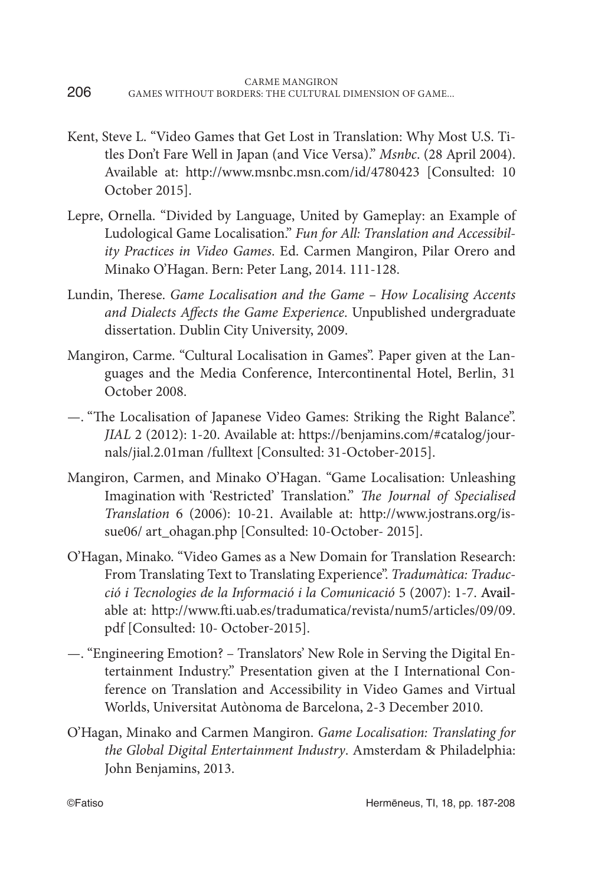- Kent, Steve L. "Video Games that Get Lost in Translation: Why Most U.S. Titles Don't Fare Well in Japan (and Vice Versa)." *Msnbc*. (28 April 2004). Available at: http://www.msnbc.msn.com/id/4780423 [Consulted: 10 October 2015].
- Lepre, Ornella. "Divided by Language, United by Gameplay: an Example of Ludological Game Localisation." *Fun for All: Translation and Accessibility Practices in Video Games*. Ed. Carmen Mangiron, Pilar Orero and Minako O'Hagan. Bern: Peter Lang, 2014. 111-128.
- Lundin, Therese. *Game Localisation and the Game How Localising Accents and Dialects Affects the Game Experience*. Unpublished undergraduate dissertation. Dublin City University, 2009.
- Mangiron, Carme. "Cultural Localisation in Games". Paper given at the Languages and the Media Conference, Intercontinental Hotel, Berlin, 31 October 2008.
- —. "The Localisation of Japanese Video Games: Striking the Right Balance". *JIAL* 2 (2012): 1-20. Available at: https://benjamins.com/#catalog/journals/jial.2.01man /fulltext [Consulted: 31-October-2015].
- Mangiron, Carmen, and Minako O'Hagan. "Game Localisation: Unleashing Imagination with 'Restricted' Translation." *The Journal of Specialised Translation* 6 (2006): 10-21. Available at: http://www.jostrans.org/issue06/ art\_ohagan.php [Consulted: 10-October- 2015].
- O'Hagan, Minako. "Video Games as a New Domain for Translation Research: From Translating Text to Translating Experience". *Tradumàtica: Traducció i Tecnologies de la Informació i la Comunicació* 5 (2007): 1-7. Available at: http://www.fti.uab.es/tradumatica/revista/num5/articles/09/09. pdf [Consulted: 10- October-2015].
- —. "Engineering Emotion? Translators' New Role in Serving the Digital Entertainment Industry." Presentation given at the I International Conference on Translation and Accessibility in Video Games and Virtual Worlds, Universitat Autònoma de Barcelona, 2-3 December 2010.
- O'Hagan, Minako and Carmen Mangiron. *Game Localisation: Translating for the Global Digital Entertainment Industry*. Amsterdam & Philadelphia: John Benjamins, 2013.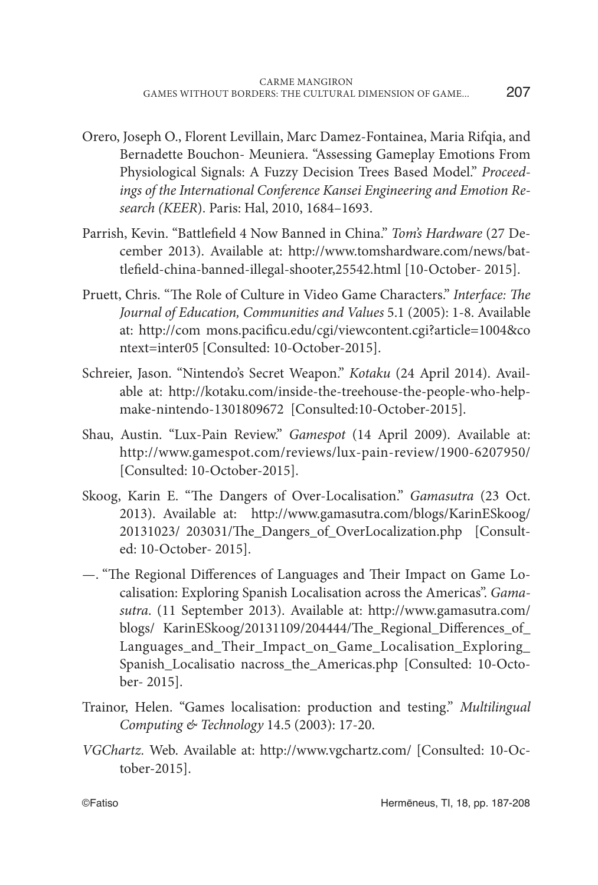- Orero, Joseph O., Florent Levillain, Marc Damez-Fontainea, Maria Rifqia, and Bernadette Bouchon- Meuniera. "Assessing Gameplay Emotions From Physiological Signals: A Fuzzy Decision Trees Based Model." *Proceedings of the International Conference Kansei Engineering and Emotion Research (KEER*). Paris: Hal, 2010, 1684–1693.
- Parrish, Kevin. "Battlefield 4 Now Banned in China." *Tom's Hardware* (27 December 2013). Available at: http://www.tomshardware.com/news/battlefield-china-banned-illegal-shooter,25542.html [10-October- 2015].
- Pruett, Chris. "The Role of Culture in Video Game Characters." *Interface: The Journal of Education, Communities and Values* 5.1 (2005): 1-8. Available at: http://com mons.pacificu.edu/cgi/viewcontent.cgi?article=1004&co ntext=inter05 [Consulted: 10-October-2015].
- Schreier, Jason. "Nintendo's Secret Weapon." *Kotaku* (24 April 2014). Available at: http://kotaku.com/inside-the-treehouse-the-people-who-helpmake-nintendo-1301809672 [Consulted:10-October-2015].
- Shau, Austin. "Lux-Pain Review." *Gamespot* (14 April 2009). Available at: http://www.gamespot.com/reviews/lux-pain-review/1900-6207950/ [Consulted: 10-October-2015].
- Skoog, Karin E. "The Dangers of Over-Localisation." *Gamasutra* (23 Oct. 2013). Available at: http://www.gamasutra.com/blogs/KarinESkoog/ 20131023/ 203031/The\_Dangers\_of\_OverLocalization.php [Consulted: 10-October- 2015].
- —. "The Regional Differences of Languages and Their Impact on Game Localisation: Exploring Spanish Localisation across the Americas". *Gamasutra*. (11 September 2013). Available at: http://www.gamasutra.com/ blogs/ KarinESkoog/20131109/204444/The\_Regional\_Differences\_of\_ Languages\_and\_Their\_Impact\_on\_Game\_Localisation\_Exploring\_ Spanish\_Localisatio nacross\_the\_Americas.php [Consulted: 10-October- 2015].
- Trainor, Helen. "Games localisation: production and testing." *Multilingual Computing & Technology* 14.5 (2003): 17-20.
- *VGChartz.* Web. Available at: http://www.vgchartz.com/ [Consulted: 10-October-2015].